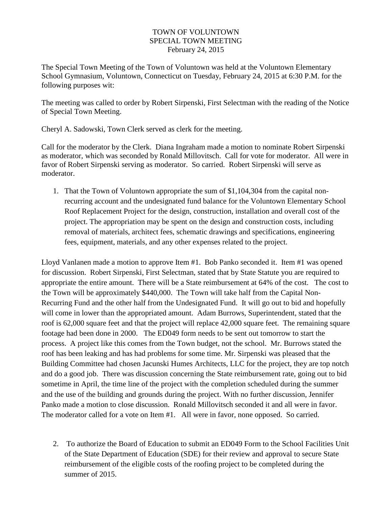## TOWN OF VOLUNTOWN SPECIAL TOWN MEETING February 24, 2015

The Special Town Meeting of the Town of Voluntown was held at the Voluntown Elementary School Gymnasium, Voluntown, Connecticut on Tuesday, February 24, 2015 at 6:30 P.M. for the following purposes wit:

The meeting was called to order by Robert Sirpenski, First Selectman with the reading of the Notice of Special Town Meeting.

Cheryl A. Sadowski, Town Clerk served as clerk for the meeting.

Call for the moderator by the Clerk. Diana Ingraham made a motion to nominate Robert Sirpenski as moderator, which was seconded by Ronald Millovitsch. Call for vote for moderator. All were in favor of Robert Sirpenski serving as moderator. So carried. Robert Sirpenski will serve as moderator.

1. That the Town of Voluntown appropriate the sum of \$1,104,304 from the capital nonrecurring account and the undesignated fund balance for the Voluntown Elementary School Roof Replacement Project for the design, construction, installation and overall cost of the project. The appropriation may be spent on the design and construction costs, including removal of materials, architect fees, schematic drawings and specifications, engineering fees, equipment, materials, and any other expenses related to the project.

Lloyd Vanlanen made a motion to approve Item #1. Bob Panko seconded it. Item #1 was opened for discussion. Robert Sirpenski, First Selectman, stated that by State Statute you are required to appropriate the entire amount. There will be a State reimbursement at 64% of the cost. The cost to the Town will be approximately \$440,000. The Town will take half from the Capital Non-Recurring Fund and the other half from the Undesignated Fund. It will go out to bid and hopefully will come in lower than the appropriated amount. Adam Burrows, Superintendent, stated that the roof is 62,000 square feet and that the project will replace 42,000 square feet. The remaining square footage had been done in 2000. The ED049 form needs to be sent out tomorrow to start the process. A project like this comes from the Town budget, not the school. Mr. Burrows stated the roof has been leaking and has had problems for some time. Mr. Sirpenski was pleased that the Building Committee had chosen Jacunski Humes Architects, LLC for the project, they are top notch and do a good job. There was discussion concerning the State reimbursement rate, going out to bid sometime in April, the time line of the project with the completion scheduled during the summer and the use of the building and grounds during the project. With no further discussion, Jennifer Panko made a motion to close discussion. Ronald Millovitsch seconded it and all were in favor. The moderator called for a vote on Item #1. All were in favor, none opposed. So carried.

2. To authorize the Board of Education to submit an ED049 Form to the School Facilities Unit of the State Department of Education (SDE) for their review and approval to secure State reimbursement of the eligible costs of the roofing project to be completed during the summer of 2015.